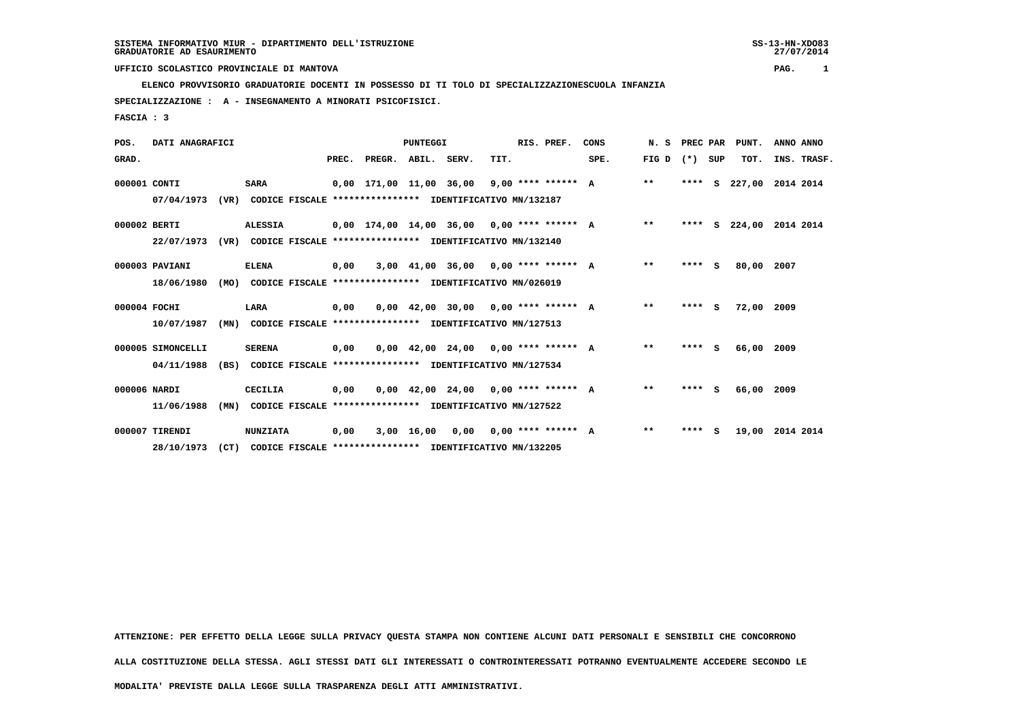**ELENCO PROVVISORIO GRADUATORIE DOCENTI IN POSSESSO DI TI TOLO DI SPECIALIZZAZIONESCUOLA INFANZIA**

 **SPECIALIZZAZIONE : A - INSEGNAMENTO A MINORATI PSICOFISICI.**

 **FASCIA : 3**

| POS.         | DATI ANAGRAFICI   |      |                                                          |       | <b>PUNTEGGI</b>                              |              |                                       |      |  | RIS. PREF.                  | CONS | N.S   | PREC PAR |          | PUNT.      | ANNO ANNO   |
|--------------|-------------------|------|----------------------------------------------------------|-------|----------------------------------------------|--------------|---------------------------------------|------|--|-----------------------------|------|-------|----------|----------|------------|-------------|
| GRAD.        |                   |      |                                                          | PREC. | PREGR. ABIL. SERV.                           |              |                                       | TIT. |  |                             | SPE. | FIG D | (*) SUP  |          | TOT.       | INS. TRASF. |
| 000001 CONTI |                   |      | <b>SARA</b>                                              |       | 0,00 171,00 11,00 36,00                      |              |                                       |      |  | $9,00$ **** ****** A        |      | $***$ | ****     | s        | 227,00     | 2014 2014   |
|              | 07/04/1973        | (VR) | CODICE FISCALE **************** IDENTIFICATIVO MN/132187 |       |                                              |              |                                       |      |  |                             |      |       |          |          |            |             |
| 000002 BERTI |                   |      | <b>ALESSIA</b>                                           |       | $0,00$ 174,00 14,00 36,00 0,00 **** ****** A |              |                                       |      |  |                             |      | $**$  | ****     | s        | 224,00     | 2014 2014   |
|              | 22/07/1973        | (VR) | CODICE FISCALE **************** IDENTIFICATIVO MN/132140 |       |                                              |              |                                       |      |  |                             |      |       |          |          |            |             |
|              | 000003 PAVIANI    |      | <b>ELENA</b>                                             | 0,00  |                                              |              | $3,00$ 41,00 36,00 0,00 **** ****** A |      |  |                             |      | $**$  | ****     | - S      | 80,00      | 2007        |
|              | 18/06/1980        | (MO) | CODICE FISCALE **************** IDENTIFICATIVO MN/026019 |       |                                              |              |                                       |      |  |                             |      |       |          |          |            |             |
| 000004 FOCHI |                   |      | LARA                                                     | 0,00  |                                              |              | $0,00$ 42,00 30,00 0,00 **** ****** A |      |  |                             |      | $* *$ | ****     | <b>S</b> | 72,00      | 2009        |
|              | 10/07/1987        | (MN) | CODICE FISCALE **************** IDENTIFICATIVO MN/127513 |       |                                              |              |                                       |      |  |                             |      |       |          |          |            |             |
|              | 000005 SIMONCELLI |      | <b>SERENA</b>                                            | 0,00  |                                              |              | $0.00$ 42.00 24.00 0.00 **** ****** A |      |  |                             |      | $* *$ | **** S   |          | 66,00      | 2009        |
|              | 04/11/1988        | (BS) | CODICE FISCALE **************** IDENTIFICATIVO MN/127534 |       |                                              |              |                                       |      |  |                             |      |       |          |          |            |             |
| 000006 NARDI |                   |      | CECILIA                                                  | 0,00  |                                              |              | $0.00$ 42.00 24.00 0.00 **** ****** A |      |  |                             |      | $**$  | ****     | S.       | 66,00 2009 |             |
|              | 11/06/1988        | (MN) | CODICE FISCALE **************** IDENTIFICATIVO MN/127522 |       |                                              |              |                                       |      |  |                             |      |       |          |          |            |             |
|              | 000007 TIRENDI    |      | <b>NUNZIATA</b>                                          | 0,00  |                                              | $3,00$ 16,00 |                                       |      |  | $0.00$ $0.00$ **** ****** A |      | $***$ | ****     | s        | 19,00      | 2014 2014   |
|              | 28/10/1973        | (CT) | CODICE FISCALE **************** IDENTIFICATIVO MN/132205 |       |                                              |              |                                       |      |  |                             |      |       |          |          |            |             |

 **ATTENZIONE: PER EFFETTO DELLA LEGGE SULLA PRIVACY QUESTA STAMPA NON CONTIENE ALCUNI DATI PERSONALI E SENSIBILI CHE CONCORRONO**

 **ALLA COSTITUZIONE DELLA STESSA. AGLI STESSI DATI GLI INTERESSATI O CONTROINTERESSATI POTRANNO EVENTUALMENTE ACCEDERE SECONDO LE**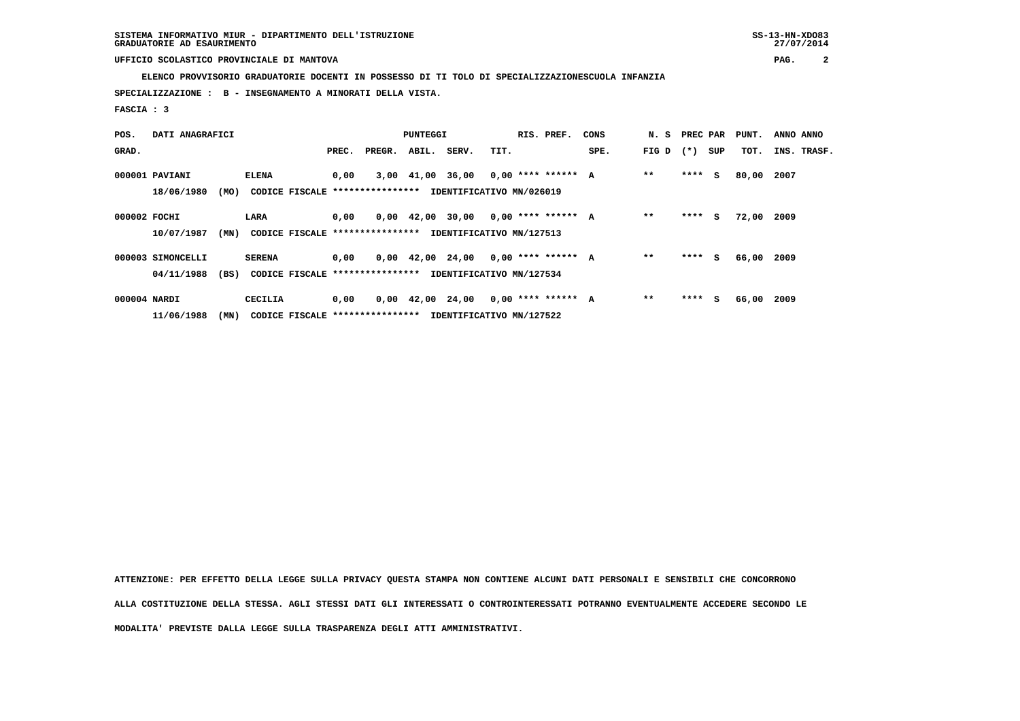**ELENCO PROVVISORIO GRADUATORIE DOCENTI IN POSSESSO DI TI TOLO DI SPECIALIZZAZIONESCUOLA INFANZIA**

 **SPECIALIZZAZIONE : B - INSEGNAMENTO A MINORATI DELLA VISTA.**

 **FASCIA : 3**

| POS.         | DATI ANAGRAFICI   |      |               | PUNTEGGI |                                  |  |                                       |      | RIS. PREF.           | CONS | N. S  | PREC PAR |     | PUNT. | ANNO ANNO |             |
|--------------|-------------------|------|---------------|----------|----------------------------------|--|---------------------------------------|------|----------------------|------|-------|----------|-----|-------|-----------|-------------|
| GRAD.        |                   |      |               | PREC.    | PREGR.                           |  | ABIL. SERV.                           | TIT. |                      | SPE. | FIG D | $(* )$   | SUP | TOT.  |           | INS. TRASF. |
|              | 000001 PAVIANI    |      | ELENA         | 0,00     |                                  |  | 3,00 41,00 36,00                      |      | $0,00$ **** ****** A |      | $* *$ | $***$ S  |     | 80,00 | 2007      |             |
|              | 18/06/1980        | (MO) |               |          | CODICE FISCALE ****************  |  | IDENTIFICATIVO MN/026019              |      |                      |      |       |          |     |       |           |             |
| 000002 FOCHI |                   |      | LARA          | 0.00     |                                  |  | $0,00$ 42,00 30,00 0,00 **** ****** A |      |                      |      | $* *$ | $***$ S  |     | 72,00 | 2009      |             |
|              | 10/07/1987        | (MN) |               |          | CODICE FISCALE ****************  |  | IDENTIFICATIVO MN/127513              |      |                      |      |       |          |     |       |           |             |
|              | 000003 SIMONCELLI |      | <b>SERENA</b> | 0,00     |                                  |  | $0,00$ 42,00 24,00 0,00 **** ****** A |      |                      |      | $**$  | $***$ S  |     | 66,00 | 2009      |             |
|              | 04/11/1988        | (BS) |               |          | CODICE FISCALE ****************  |  | IDENTIFICATIVO MN/127534              |      |                      |      |       |          |     |       |           |             |
| 000004 NARDI |                   |      | CECILIA       | 0,00     |                                  |  | $0,00 \quad 42,00 \quad 24,00$        |      | $0,00$ **** ****** A |      | $* *$ | ****     | s   | 66,00 | 2009      |             |
|              | 11/06/1988        | (MN) |               |          | CODICE FISCALE ***************** |  | IDENTIFICATIVO MN/127522              |      |                      |      |       |          |     |       |           |             |

 **ATTENZIONE: PER EFFETTO DELLA LEGGE SULLA PRIVACY QUESTA STAMPA NON CONTIENE ALCUNI DATI PERSONALI E SENSIBILI CHE CONCORRONO**

 **ALLA COSTITUZIONE DELLA STESSA. AGLI STESSI DATI GLI INTERESSATI O CONTROINTERESSATI POTRANNO EVENTUALMENTE ACCEDERE SECONDO LE**

 **MODALITA' PREVISTE DALLA LEGGE SULLA TRASPARENZA DEGLI ATTI AMMINISTRATIVI.**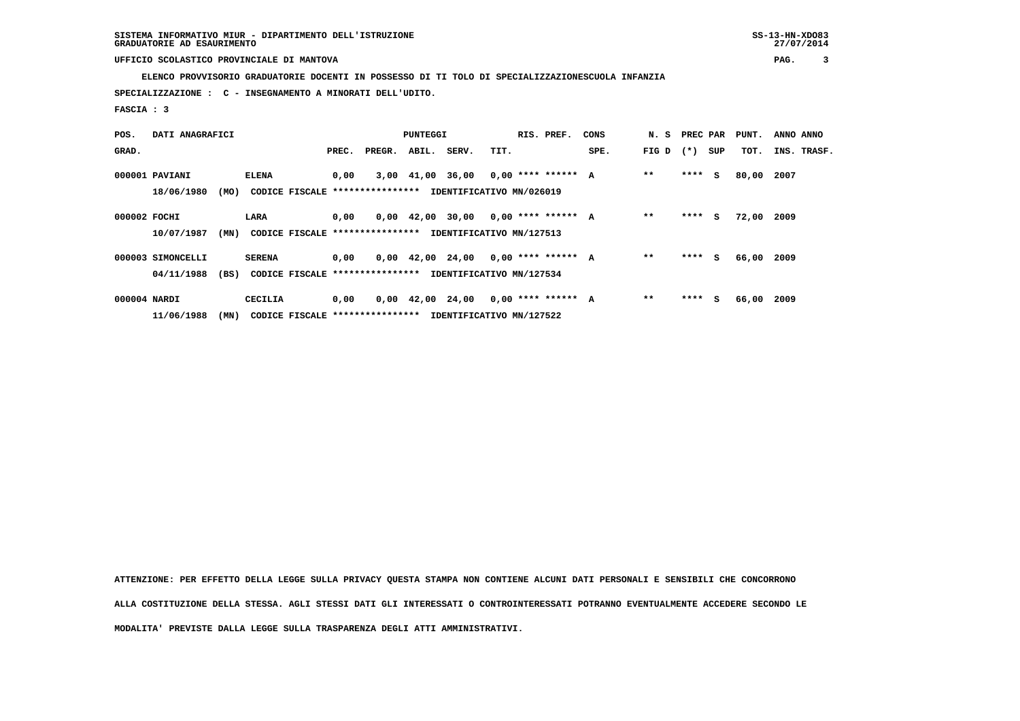**ELENCO PROVVISORIO GRADUATORIE DOCENTI IN POSSESSO DI TI TOLO DI SPECIALIZZAZIONESCUOLA INFANZIA**

 **SPECIALIZZAZIONE : C - INSEGNAMENTO A MINORATI DELL'UDITO.**

 **FASCIA : 3**

| POS.         | DATI ANAGRAFICI   |      |               | PUNTEGGI |                                  |  |                                       |      | RIS. PREF.           | CONS | N. S  | PREC PAR |     | PUNT. | ANNO ANNO |             |
|--------------|-------------------|------|---------------|----------|----------------------------------|--|---------------------------------------|------|----------------------|------|-------|----------|-----|-------|-----------|-------------|
| GRAD.        |                   |      |               | PREC.    | PREGR.                           |  | ABIL. SERV.                           | TIT. |                      | SPE. | FIG D | $(* )$   | SUP | TOT.  |           | INS. TRASF. |
|              | 000001 PAVIANI    |      | ELENA         | 0,00     |                                  |  | 3,00 41,00 36,00                      |      | $0,00$ **** ****** A |      | $* *$ | $***$ S  |     | 80,00 | 2007      |             |
|              | 18/06/1980        | (MO) |               |          | CODICE FISCALE ****************  |  | IDENTIFICATIVO MN/026019              |      |                      |      |       |          |     |       |           |             |
| 000002 FOCHI |                   |      | LARA          | 0.00     |                                  |  | $0,00$ 42,00 30,00 0,00 **** ****** A |      |                      |      | $* *$ | $***$ S  |     | 72,00 | 2009      |             |
|              | 10/07/1987        | (MN) |               |          | CODICE FISCALE ****************  |  | IDENTIFICATIVO MN/127513              |      |                      |      |       |          |     |       |           |             |
|              | 000003 SIMONCELLI |      | <b>SERENA</b> | 0,00     |                                  |  | $0,00$ 42,00 24,00 0,00 **** ****** A |      |                      |      | $**$  | $***$ S  |     | 66,00 | 2009      |             |
|              | 04/11/1988        | (BS) |               |          | CODICE FISCALE ****************  |  | IDENTIFICATIVO MN/127534              |      |                      |      |       |          |     |       |           |             |
| 000004 NARDI |                   |      | CECILIA       | 0,00     |                                  |  | $0,00 \quad 42,00 \quad 24,00$        |      | $0,00$ **** ****** A |      | $* *$ | ****     | s   | 66,00 | 2009      |             |
|              | 11/06/1988        | (MN) |               |          | CODICE FISCALE ***************** |  | IDENTIFICATIVO MN/127522              |      |                      |      |       |          |     |       |           |             |

 **ATTENZIONE: PER EFFETTO DELLA LEGGE SULLA PRIVACY QUESTA STAMPA NON CONTIENE ALCUNI DATI PERSONALI E SENSIBILI CHE CONCORRONO**

 **ALLA COSTITUZIONE DELLA STESSA. AGLI STESSI DATI GLI INTERESSATI O CONTROINTERESSATI POTRANNO EVENTUALMENTE ACCEDERE SECONDO LE**

 **MODALITA' PREVISTE DALLA LEGGE SULLA TRASPARENZA DEGLI ATTI AMMINISTRATIVI.**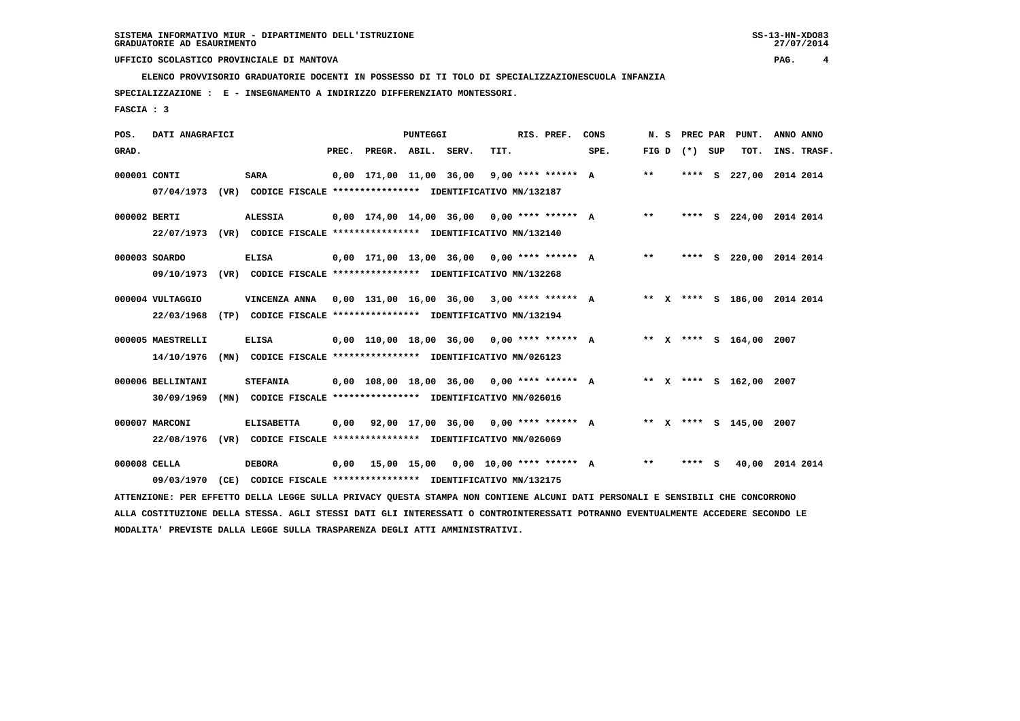**ELENCO PROVVISORIO GRADUATORIE DOCENTI IN POSSESSO DI TI TOLO DI SPECIALIZZAZIONESCUOLA INFANZIA**

 **SPECIALIZZAZIONE : E - INSEGNAMENTO A INDIRIZZO DIFFERENZIATO MONTESSORI.**

 **FASCIA : 3**

| POS.         | DATI ANAGRAFICI   |                                                                                                                               | PUNTEGGI |                                                           | RIS. PREF. | CONS | N. S |      | PREC PAR PUNT. | ANNO ANNO         |                              |  |             |
|--------------|-------------------|-------------------------------------------------------------------------------------------------------------------------------|----------|-----------------------------------------------------------|------------|------|------|------|----------------|-------------------|------------------------------|--|-------------|
| GRAD.        |                   |                                                                                                                               |          | PREC. PREGR. ABIL. SERV.                                  |            | TIT. |      | SPE. |                | FIG $D$ $(*)$ SUP | TOT.                         |  | INS. TRASF. |
| 000001 CONTI |                   | SARA                                                                                                                          |          | $0,00$ 171,00 11,00 36,00 9,00 **** ****** A              |            |      |      |      | $***$          |                   | **** S 227,00 2014 2014      |  |             |
|              | 07/04/1973        | (VR) CODICE FISCALE **************** IDENTIFICATIVO MN/132187                                                                 |          |                                                           |            |      |      |      |                |                   |                              |  |             |
| 000002 BERTI |                   | <b>ALESSIA</b>                                                                                                                |          | $0,00$ 174,00 14,00 36,00 0,00 **** ****** A              |            |      |      |      | $***$          |                   | **** S 224,00 2014 2014      |  |             |
|              |                   | 22/07/1973 (VR) CODICE FISCALE *************** IDENTIFICATIVO MN/132140                                                       |          |                                                           |            |      |      |      |                |                   |                              |  |             |
|              | 000003 SOARDO     | <b>ELISA</b>                                                                                                                  |          | 0,00 171,00 13,00 36,00 0,00 **** ****** A                |            |      |      |      | $***$          |                   | **** S 220,00 2014 2014      |  |             |
|              | 09/10/1973        | (VR) CODICE FISCALE **************** IDENTIFICATIVO MN/132268                                                                 |          |                                                           |            |      |      |      |                |                   |                              |  |             |
|              | 000004 VULTAGGIO  | VINCENZA ANNA 0,00 131,00 16,00 36,00 3,00 **** ****** A                                                                      |          |                                                           |            |      |      |      |                |                   | ** X **** S 186,00 2014 2014 |  |             |
|              | 22/03/1968        | (TP) CODICE FISCALE **************** IDENTIFICATIVO MN/132194                                                                 |          |                                                           |            |      |      |      |                |                   |                              |  |             |
|              | 000005 MAESTRELLI | <b>ELISA</b>                                                                                                                  |          | $0,00$ 110,00 18,00 36,00 0,00 **** ****** A              |            |      |      |      |                |                   | ** X **** S 164,00 2007      |  |             |
|              | 14/10/1976        | (MN) CODICE FISCALE **************** IDENTIFICATIVO MN/026123                                                                 |          |                                                           |            |      |      |      |                |                   |                              |  |             |
|              |                   |                                                                                                                               |          |                                                           |            |      |      |      |                |                   |                              |  |             |
|              | 000006 BELLINTANI | <b>STEFANIA</b>                                                                                                               |          | $0,00$ $108,00$ $18,00$ $36,00$ $0,00$ $***$ **** ***** A |            |      |      |      |                |                   | ** x **** s 162,00 2007      |  |             |
|              | 30/09/1969        | (MN) CODICE FISCALE **************** IDENTIFICATIVO MN/026016                                                                 |          |                                                           |            |      |      |      |                |                   |                              |  |             |
|              | 000007 MARCONI    | <b>ELISABETTA</b>                                                                                                             | 0.00     | 92,00 17,00 36,00 0,00 **** ****** A                      |            |      |      |      |                |                   | ** X **** S 145,00 2007      |  |             |
|              | 22/08/1976        | (VR) CODICE FISCALE **************** IDENTIFICATIVO MN/026069                                                                 |          |                                                           |            |      |      |      |                |                   |                              |  |             |
| 000008 CELLA |                   | <b>DEBORA</b>                                                                                                                 |          | $0,00$ 15,00 15,00 0,00 10,00 **** ****** A               |            |      |      |      | $***$          | **** $S$          | 40,00 2014 2014              |  |             |
|              | 09/03/1970        | (CE) CODICE FISCALE **************** IDENTIFICATIVO MN/132175                                                                 |          |                                                           |            |      |      |      |                |                   |                              |  |             |
|              |                   | ATTENZIONE: PER EFFETTO DELLA LEGGE SULLA PRIVACY QUESTA STAMPA NON CONTIENE ALCUNI DATI PERSONALI E SENSIBILI CHE CONCORRONO |          |                                                           |            |      |      |      |                |                   |                              |  |             |

 **ALLA COSTITUZIONE DELLA STESSA. AGLI STESSI DATI GLI INTERESSATI O CONTROINTERESSATI POTRANNO EVENTUALMENTE ACCEDERE SECONDO LE MODALITA' PREVISTE DALLA LEGGE SULLA TRASPARENZA DEGLI ATTI AMMINISTRATIVI.**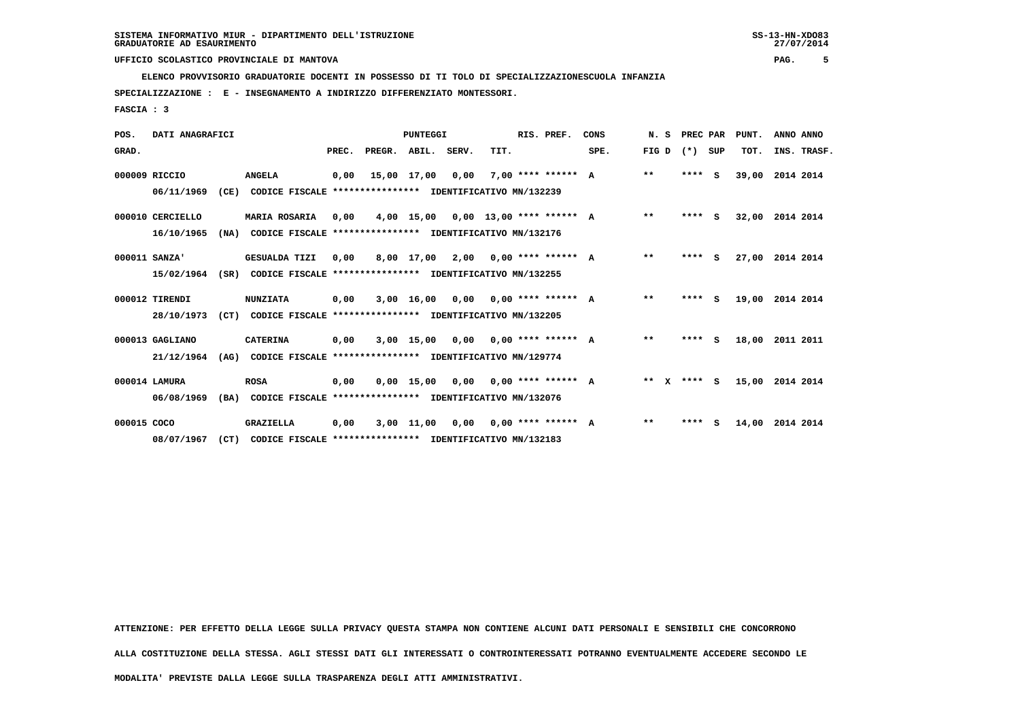**ELENCO PROVVISORIO GRADUATORIE DOCENTI IN POSSESSO DI TI TOLO DI SPECIALIZZAZIONESCUOLA INFANZIA**

 **SPECIALIZZAZIONE : E - INSEGNAMENTO A INDIRIZZO DIFFERENZIATO MONTESSORI.**

 **FASCIA : 3**

| POS.        | DATI ANAGRAFICI  |      |                                                          |       |                                           | PUNTEGGI     |      | RIS. PREF. | CONS                        | N. S | PREC PAR |         | PUNT.    | ANNO ANNO |             |  |
|-------------|------------------|------|----------------------------------------------------------|-------|-------------------------------------------|--------------|------|------------|-----------------------------|------|----------|---------|----------|-----------|-------------|--|
| GRAD.       |                  |      |                                                          | PREC. | PREGR.                                    | ABIL. SERV.  |      | TIT.       |                             | SPE. | FIG D    | (*) SUP |          | TOT.      | INS. TRASF. |  |
|             | 000009 RICCIO    |      | <b>ANGELA</b>                                            | 0,00  | 15,00 17,00                               |              | 0,00 |            | $7.00$ **** ****** A        |      | $* *$    | ****    | S.       | 39,00     | 2014 2014   |  |
|             | 06/11/1969       | (CE) | CODICE FISCALE **************** IDENTIFICATIVO MN/132239 |       |                                           |              |      |            |                             |      |          |         |          |           |             |  |
|             | 000010 CERCIELLO |      | <b>MARIA ROSARIA</b>                                     | 0,00  |                                           | 4,00 15,00   |      |            | $0,00$ 13,00 **** ****** A  |      | $**$     | ****    | s        | 32,00     | 2014 2014   |  |
|             | 16/10/1965       | (NA) | CODICE FISCALE                                           |       | **************** IDENTIFICATIVO MN/132176 |              |      |            |                             |      |          |         |          |           |             |  |
|             | 000011 SANZA'    |      | <b>GESUALDA TIZI</b>                                     | 0.00  |                                           | 8,00 17,00   | 2,00 |            | $0.00$ **** ****** A        |      | $* *$    | ****    | S.       | 27,00     | 2014 2014   |  |
|             | 15/02/1964       | (SR) | CODICE FISCALE **************** IDENTIFICATIVO MN/132255 |       |                                           |              |      |            |                             |      |          |         |          |           |             |  |
|             | 000012 TIRENDI   |      | <b>NUNZIATA</b>                                          | 0,00  |                                           | 3,00 16,00   | 0.00 |            | $0.00$ **** ****** A        |      | $* *$    | ****    | S.       | 19,00     | 2014 2014   |  |
|             | 28/10/1973       | (CT) | CODICE FISCALE **************** IDENTIFICATIVO MN/132205 |       |                                           |              |      |            |                             |      |          |         |          |           |             |  |
|             | 000013 GAGLIANO  |      | <b>CATERINA</b>                                          | 0,00  |                                           | $3,00$ 15,00 |      |            | $0,00$ $0,00$ **** ****** A |      | $**$     | ****    | <b>S</b> | 18,00     | 2011 2011   |  |
|             | 21/12/1964       | (AG) | CODICE FISCALE **************** IDENTIFICATIVO MN/129774 |       |                                           |              |      |            |                             |      |          |         |          |           |             |  |
|             | 000014 LAMURA    |      | <b>ROSA</b>                                              | 0,00  |                                           | $0,00$ 15,00 |      |            | $0.00$ $0.00$ **** ****** A |      | $* *$    | **** S  |          | 15,00     | 2014 2014   |  |
|             | 06/08/1969       | (BA) | CODICE FISCALE **************** IDENTIFICATIVO MN/132076 |       |                                           |              |      |            |                             |      |          |         |          |           |             |  |
| 000015 COCO |                  |      | <b>GRAZIELLA</b>                                         | 0,00  |                                           | 3,00 11,00   | 0,00 |            | $0.00$ **** ****** A        |      | $**$     | ****    | s        | 14,00     | 2014 2014   |  |
|             | 08/07/1967       | (CT) | CODICE FISCALE **************** IDENTIFICATIVO MN/132183 |       |                                           |              |      |            |                             |      |          |         |          |           |             |  |

 **ATTENZIONE: PER EFFETTO DELLA LEGGE SULLA PRIVACY QUESTA STAMPA NON CONTIENE ALCUNI DATI PERSONALI E SENSIBILI CHE CONCORRONO ALLA COSTITUZIONE DELLA STESSA. AGLI STESSI DATI GLI INTERESSATI O CONTROINTERESSATI POTRANNO EVENTUALMENTE ACCEDERE SECONDO LE MODALITA' PREVISTE DALLA LEGGE SULLA TRASPARENZA DEGLI ATTI AMMINISTRATIVI.**